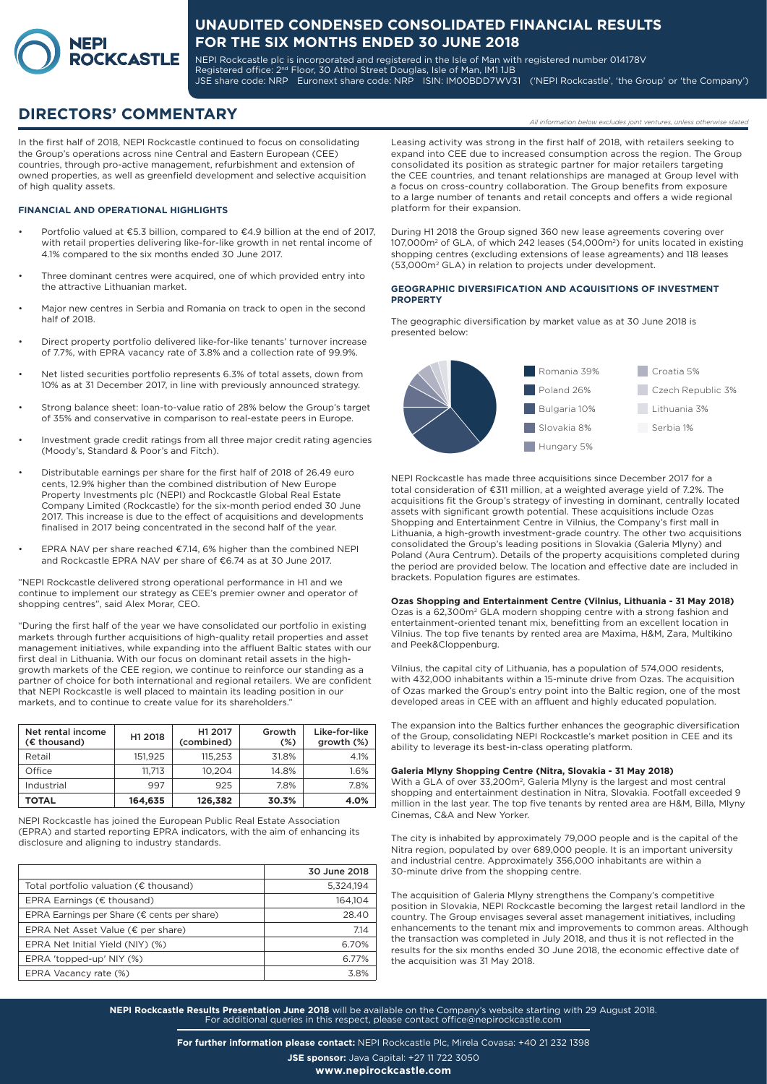

NEPI Rockcastle plc is incorporated and registered in the Isle of Man with registered number 014178V Registered office: 2<sup>nd</sup> Floor, 30 Athol Street Douglas, Isle of Man, IM1 1JB JSE share code: NRP Euronext share code: NRP ISIN: IM00BDD7WV31 ('NEPI Rockcastle', 'the Group' or 'the Company')

# **DIRECTORS' COMMENTARY** *All information below excludes joint ventures, unless otherwise stated*

In the first half of 2018, NEPI Rockcastle continued to focus on consolidating the Group's operations across nine Central and Eastern European (CEE) countries, through pro-active management, refurbishment and extension of owned properties, as well as greenfield development and selective acquisition of high quality assets.

#### **FINANCIAL AND OPERATIONAL HIGHLIGHTS**

- Portfolio valued at €5.3 billion, compared to €4.9 billion at the end of 2017, with retail properties delivering like-for-like growth in net rental income of 4.1% compared to the six months ended 30 June 2017.
- Three dominant centres were acquired, one of which provided entry into the attractive Lithuanian market.
- Major new centres in Serbia and Romania on track to open in the second half of 2018.
- Direct property portfolio delivered like-for-like tenants' turnover increase of 7.7%, with EPRA vacancy rate of 3.8% and a collection rate of 99.9%.
- Net listed securities portfolio represents 6.3% of total assets, down from 10% as at 31 December 2017, in line with previously announced strategy.
- Strong balance sheet: loan-to-value ratio of 28% below the Group's target of 35% and conservative in comparison to real-estate peers in Europe.
- Investment grade credit ratings from all three major credit rating agencies (Moody's, Standard & Poor's and Fitch).
- Distributable earnings per share for the first half of 2018 of 26.49 euro cents, 12.9% higher than the combined distribution of New Europe Property Investments plc (NEPI) and Rockcastle Global Real Estate Company Limited (Rockcastle) for the six-month period ended 30 June 2017. This increase is due to the effect of acquisitions and developments finalised in 2017 being concentrated in the second half of the year.
- EPRA NAV per share reached  $£7.14, 6%$  higher than the combined NEPI and Rockcastle EPRA NAV per share of €6.74 as at 30 June 2017.

"NEPI Rockcastle delivered strong operational performance in H1 and we continue to implement our strategy as CEE's premier owner and operator of shopping centres", said Alex Morar, CEO.

"During the first half of the year we have consolidated our portfolio in existing markets through further acquisitions of high-quality retail properties and asset management initiatives, while expanding into the affluent Baltic states with our first deal in Lithuania. With our focus on dominant retail assets in the highgrowth markets of the CEE region, we continue to reinforce our standing as a partner of choice for both international and regional retailers. We are confident that NEPI Rockcastle is well placed to maintain its leading position in our markets, and to continue to create value for its shareholders."

| Net rental income<br>(€ thousand) | H1 2018 | H1 2017<br>(combined) | Growth<br>$(\%)$ | Like-for-like<br>growth (%) |
|-----------------------------------|---------|-----------------------|------------------|-----------------------------|
| Retail                            | 151.925 | 115.253               | 31.8%            | 4.1%                        |
| Office                            | 11.713  | 10.204                | 14.8%            | 1.6%                        |
| Industrial                        | 997     | 925                   | 7.8%             | 7.8%                        |
| TOTAL                             | 164,635 | 126,382               | 30.3%            | 4.0%                        |

NEPI Rockcastle has joined the European Public Real Estate Association (EPRA) and started reporting EPRA indicators, with the aim of enhancing its disclosure and aligning to industry standards.

|                                                  | 30 June 2018 |
|--------------------------------------------------|--------------|
| Total portfolio valuation ( $\epsilon$ thousand) | 5,324,194    |
| EPRA Earnings ( $\epsilon$ thousand)             | 164.104      |
| EPRA Earnings per Share (€ cents per share)      | 28.40        |
| EPRA Net Asset Value ( $\epsilon$ per share)     | 7.14         |
| EPRA Net Initial Yield (NIY) (%)                 | 6.70%        |
| EPRA 'topped-up' NIY (%)                         | 6.77%        |
| EPRA Vacancy rate (%)                            | 38%          |

Leasing activity was strong in the first half of 2018, with retailers seeking to expand into CEE due to increased consumption across the region. The Group consolidated its position as strategic partner for major retailers targeting the CEE countries, and tenant relationships are managed at Group level with a focus on cross-country collaboration. The Group benefits from exposure to a large number of tenants and retail concepts and offers a wide regional platform for their expansion.

During H1 2018 the Group signed 360 new lease agreements covering over 107,000m2 of GLA, of which 242 leases (54,000m2) for units located in existing shopping centres (excluding extensions of lease agreaments) and 118 leases (53,000m2 GLA) in relation to projects under development.

#### **GEOGRAPHIC DIVERSIFICATION AND ACQUISITIONS OF INVESTMENT PROPERTY**

The geographic diversification by market value as at 30 June 2018 is presented below:



NEPI Rockcastle has made three acquisitions since December 2017 for a total consideration of €311 million, at a weighted average yield of 7.2%. The acquisitions fit the Group's strategy of investing in dominant, centrally located assets with significant growth potential. These acquisitions include Ozas Shopping and Entertainment Centre in Vilnius, the Company's first mall in Lithuania, a high-growth investment-grade country. The other two acquisitions consolidated the Group's leading positions in Slovakia (Galeria Mlyny) and Poland (Aura Centrum). Details of the property acquisitions completed during the period are provided below. The location and effective date are included in brackets. Population figures are estimates.

**Ozas Shopping and Entertainment Centre (Vilnius, Lithuania - 31 May 2018)** Ozas is a 62,300m2 GLA modern shopping centre with a strong fashion and entertainment-oriented tenant mix, benefitting from an excellent location in Vilnius. The top five tenants by rented area are Maxima, H&M, Zara, Multikino and Peek&Cloppenburg.

Vilnius, the capital city of Lithuania, has a population of 574,000 residents, with 432,000 inhabitants within a 15-minute drive from Ozas. The acquisition of Ozas marked the Group's entry point into the Baltic region, one of the most developed areas in CEE with an affluent and highly educated population.

The expansion into the Baltics further enhances the geographic diversification of the Group, consolidating NEPI Rockcastle's market position in CEE and its ability to leverage its best-in-class operating platform.

#### **Galeria Mlyny Shopping Centre (Nitra, Slovakia - 31 May 2018)**

With a GLA of over 33,200m<sup>2</sup>, Galeria Mlyny is the largest and most central shopping and entertainment destination in Nitra, Slovakia. Footfall exceeded 9 million in the last year. The top five tenants by rented area are H&M, Billa, Mlyny Cinemas, C&A and New Yorker.

The city is inhabited by approximately 79,000 people and is the capital of the Nitra region, populated by over 689,000 people. It is an important university and industrial centre. Approximately 356,000 inhabitants are within a 30-minute drive from the shopping centre.

The acquisition of Galeria Mlyny strengthens the Company's competitive position in Slovakia, NEPI Rockcastle becoming the largest retail landlord in the country. The Group envisages several asset management initiatives, including enhancements to the tenant mix and improvements to common areas. Although the transaction was completed in July 2018, and thus it is not reflected in the results for the six months ended 30 June 2018, the economic effective date of the acquisition was 31 May 2018.

**NEPI Rockcastle Results Presentation June 2018** will be available on the Company's website starting with 29 August 2018. For additional queries in this respect, please contact office@nepirockcastle.com

**For further information please contact:** NEPI Rockcastle Plc, Mirela Covasa: +40 21 232 1398

**JSE sponsor:** Java Capital: +27 11 722 3050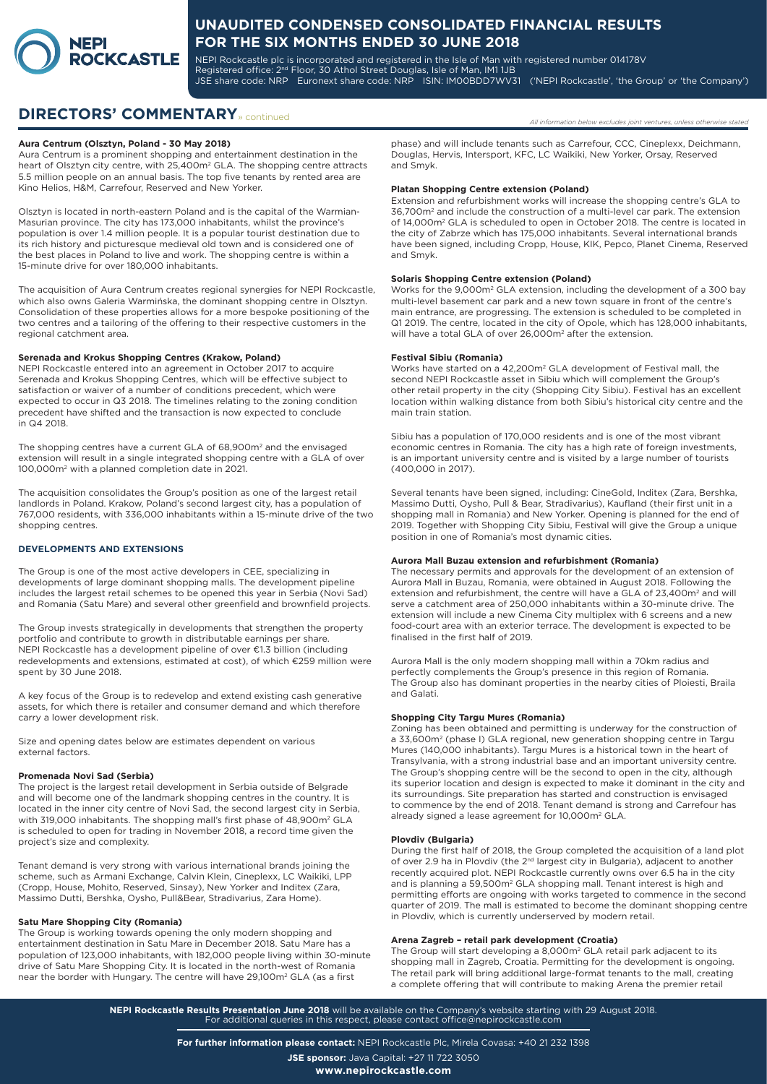

NEPI Rockcastle plc is incorporated and registered in the Isle of Man with registered number 014178V Registered office: 2<sup>nd</sup> Floor, 30 Athol Street Douglas, Isle of Man, IM1 1JB JSE share code: NRP Euronext share code: NRP ISIN: IM00BDD7WV31 ('NEPI Rockcastle', 'the Group' or 'the Company')

# **DIRECTORS' COMMENTARY** » continued

#### **Aura Centrum (Olsztyn, Poland - 30 May 2018)**

Aura Centrum is a prominent shopping and entertainment destination in the heart of Olsztyn city centre, with 25,400m<sup>2</sup> GLA. The shopping centre attracts 5.5 million people on an annual basis. The top five tenants by rented area are Kino Helios, H&M, Carrefour, Reserved and New Yorker.

Olsztyn is located in north-eastern Poland and is the capital of the Warmian-Masurian province. The city has 173,000 inhabitants, whilst the province's population is over 1.4 million people. It is a popular tourist destination due to its rich history and picturesque medieval old town and is considered one of the best places in Poland to live and work. The shopping centre is within a 15-minute drive for over 180,000 inhabitants.

The acquisition of Aura Centrum creates regional synergies for NEPI Rockcastle, which also owns Galeria Warmińska, the dominant shopping centre in Olsztyn. Consolidation of these properties allows for a more bespoke positioning of the two centres and a tailoring of the offering to their respective customers in the regional catchment area.

#### **Serenada and Krokus Shopping Centres (Krakow, Poland)**

NEPI Rockcastle entered into an agreement in October 2017 to acquire Serenada and Krokus Shopping Centres, which will be effective subject to satisfaction or waiver of a number of conditions precedent, which were expected to occur in Q3 2018. The timelines relating to the zoning condition precedent have shifted and the transaction is now expected to conclude in Q4 2018.

The shopping centres have a current GLA of 68,900m<sup>2</sup> and the envisaged extension will result in a single integrated shopping centre with a GLA of over 100,000m2 with a planned completion date in 2021.

The acquisition consolidates the Group's position as one of the largest retail landlords in Poland. Krakow, Poland's second largest city, has a population of 767,000 residents, with 336,000 inhabitants within a 15-minute drive of the two shopping centres.

#### **DEVELOPMENTS AND EXTENSIONS**

The Group is one of the most active developers in CEE, specializing in developments of large dominant shopping malls. The development pipeline includes the largest retail schemes to be opened this year in Serbia (Novi Sad) and Romania (Satu Mare) and several other greenfield and brownfield projects.

The Group invests strategically in developments that strengthen the property portfolio and contribute to growth in distributable earnings per share. NEPI Rockcastle has a development pipeline of over €1.3 billion (including redevelopments and extensions, estimated at cost), of which €259 million were spent by 30 June 2018.

A key focus of the Group is to redevelop and extend existing cash generative assets, for which there is retailer and consumer demand and which therefore carry a lower development risk.

Size and opening dates below are estimates dependent on various external factors.

#### **Promenada Novi Sad (Serbia)**

The project is the largest retail development in Serbia outside of Belgrade and will become one of the landmark shopping centres in the country. It is located in the inner city centre of Novi Sad, the second largest city in Serbia, with 319,000 inhabitants. The shopping mall's first phase of 48,900m<sup>2</sup> GLA is scheduled to open for trading in November 2018, a record time given the project's size and complexity.

Tenant demand is very strong with various international brands joining the scheme, such as Armani Exchange, Calvin Klein, Cineplexx, LC Waikiki, LPP (Cropp, House, Mohito, Reserved, Sinsay), New Yorker and Inditex (Zara, Massimo Dutti, Bershka, Oysho, Pull&Bear, Stradivarius, Zara Home).

#### **Satu Mare Shopping City (Romania)**

The Group is working towards opening the only modern shopping and entertainment destination in Satu Mare in December 2018. Satu Mare has a population of 123,000 inhabitants, with 182,000 people living within 30-minute drive of Satu Mare Shopping City. It is located in the north-west of Romania near the border with Hungary. The centre will have 29,100m<sup>2</sup> GLA (as a first

phase) and will include tenants such as Carrefour, CCC, Cineplexx, Deichmann, Douglas, Hervis, Intersport, KFC, LC Waikiki, New Yorker, Orsay, Reserved and Smyk.

#### **Platan Shopping Centre extension (Poland)**

Extension and refurbishment works will increase the shopping centre's GLA to 36,700m2 and include the construction of a multi-level car park. The extension of 14,000m<sup>2</sup> GLA is scheduled to open in October 2018. The centre is located in the city of Zabrze which has 175,000 inhabitants. Several international brands have been signed, including Cropp, House, KIK, Pepco, Planet Cinema, Reserved and Smyk.

### **Solaris Shopping Centre extension (Poland)**

Works for the 9,000m2 GLA extension, including the development of a 300 bay multi-level basement car park and a new town square in front of the centre's main entrance, are progressing. The extension is scheduled to be completed in Q1 2019. The centre, located in the city of Opole, which has 128,000 inhabitants, will have a total GLA of over 26,000m2 after the extension.

#### **Festival Sibiu (Romania)**

Works have started on a 42,200m2 GLA development of Festival mall, the second NEPI Rockcastle asset in Sibiu which will complement the Group's other retail property in the city (Shopping City Sibiu). Festival has an excellent location within walking distance from both Sibiu's historical city centre and the main train station.

Sibiu has a population of 170,000 residents and is one of the most vibrant economic centres in Romania. The city has a high rate of foreign investments, is an important university centre and is visited by a large number of tourists (400,000 in 2017).

Several tenants have been signed, including: CineGold, Inditex (Zara, Bershka, Massimo Dutti, Oysho, Pull & Bear, Stradivarius), Kaufland (their first unit in a shopping mall in Romania) and New Yorker. Opening is planned for the end of 2019. Together with Shopping City Sibiu, Festival will give the Group a unique position in one of Romania's most dynamic cities.

#### **Aurora Mall Buzau extension and refurbishment (Romania)**

The necessary permits and approvals for the development of an extension of Aurora Mall in Buzau, Romania, were obtained in August 2018. Following the extension and refurbishment, the centre will have a GLA of 23,400m<sup>2</sup> and will serve a catchment area of 250,000 inhabitants within a 30-minute drive. The extension will include a new Cinema City multiplex with 6 screens and a new food-court area with an exterior terrace. The development is expected to be finalised in the first half of 2019.

Aurora Mall is the only modern shopping mall within a 70km radius and perfectly complements the Group's presence in this region of Romania. The Group also has dominant properties in the nearby cities of Ploiesti, Braila and Galati.

#### **Shopping City Targu Mures (Romania)**

Zoning has been obtained and permitting is underway for the construction of a 33,600m<sup>2</sup> (phase I) GLA regional, new generation shopping centre in Targu Mures (140,000 inhabitants). Targu Mures is a historical town in the heart of Transylvania, with a strong industrial base and an important university centre. The Group's shopping centre will be the second to open in the city, although its superior location and design is expected to make it dominant in the city and its surroundings. Site preparation has started and construction is envisaged to commence by the end of 2018. Tenant demand is strong and Carrefour has already signed a lease agreement for 10,000m<sup>2</sup> GLA.

#### **Plovdiv (Bulgaria)**

During the first half of 2018, the Group completed the acquisition of a land plot of over 2.9 ha in Plovdiv (the 2<sup>nd</sup> largest city in Bulgaria), adjacent to another recently acquired plot. NEPI Rockcastle currently owns over 6.5 ha in the city and is planning a 59,500m<sup>2</sup> GLA shopping mall. Tenant interest is high and permitting efforts are ongoing with works targeted to commence in the second quarter of 2019. The mall is estimated to become the dominant shopping centre in Plovdiv, which is currently underserved by modern retail.

#### **Arena Zagreb – retail park development (Croatia)**

The Group will start developing a 8,000m<sup>2</sup> GLA retail park adjacent to its shopping mall in Zagreb, Croatia. Permitting for the development is ongoing. The retail park will bring additional large-format tenants to the mall, creating a complete offering that will contribute to making Arena the premier retail

**NEPI Rockcastle Results Presentation June 2018** will be available on the Company's website starting with 29 August 2018. For additional queries in this respect, please contact office@nepirockcastle.com

**For further information please contact:** NEPI Rockcastle Plc, Mirela Covasa: +40 21 232 1398

**JSE sponsor:** Java Capital: +27 11 722 3050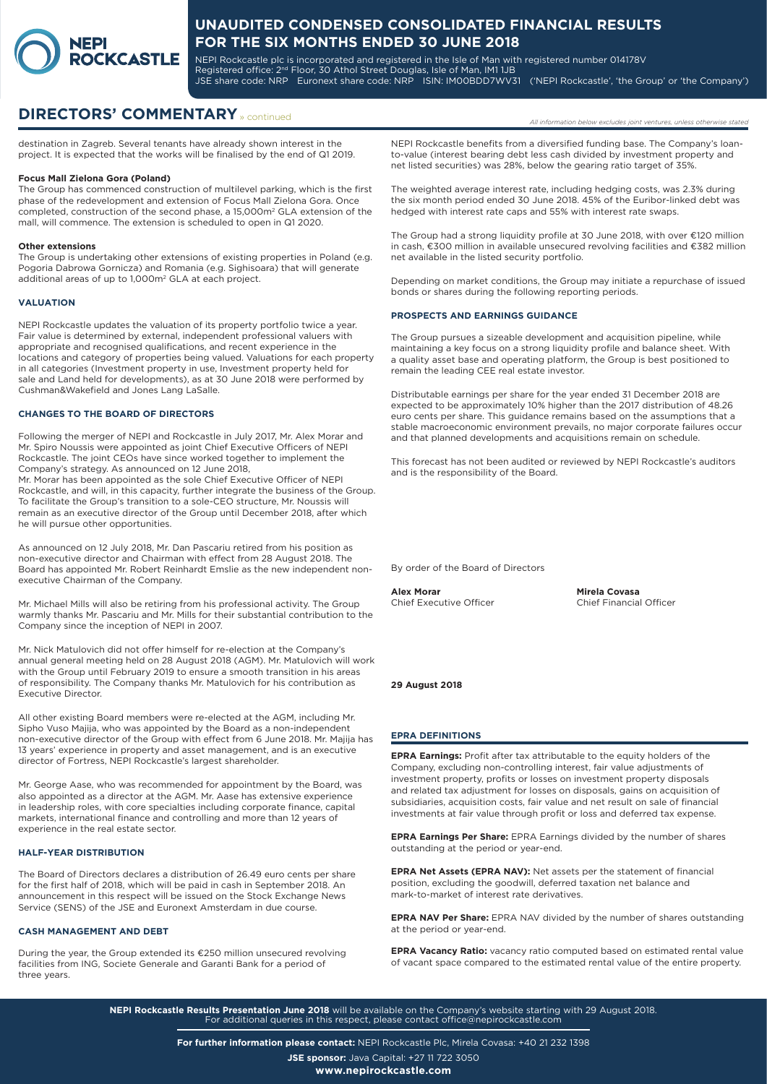

NEPI Rockcastle plc is incorporated and registered in the Isle of Man with registered number 014178V Registered office: 2<sup>nd</sup> Floor, 30 Athol Street Douglas, Isle of Man, IM1 1JB JSE share code: NRP Euronext share code: NRP ISIN: IM00BDD7WV31 ('NEPI Rockcastle', 'the Group' or 'the Company')

# **DIRECTORS' COMMENTARY** » continued

destination in Zagreb. Several tenants have already shown interest in the project. It is expected that the works will be finalised by the end of Q1 2019.

#### **Focus Mall Zielona Gora (Poland)**

The Group has commenced construction of multilevel parking, which is the first phase of the redevelopment and extension of Focus Mall Zielona Gora. Once completed, construction of the second phase, a 15,000m2 GLA extension of the mall, will commence. The extension is scheduled to open in Q1 2020.

#### **Other extensions**

The Group is undertaking other extensions of existing properties in Poland (e.g. Pogoria Dabrowa Gornicza) and Romania (e.g. Sighisoara) that will generate additional areas of up to 1,000m<sup>2</sup> GLA at each project.

#### **VALUATION**

NEPI Rockcastle updates the valuation of its property portfolio twice a year. Fair value is determined by external, independent professional valuers with appropriate and recognised qualifications, and recent experience in the locations and category of properties being valued. Valuations for each property in all categories (Investment property in use, Investment property held for sale and Land held for developments), as at 30 June 2018 were performed by Cushman&Wakefield and Jones Lang LaSalle.

#### **CHANGES TO THE BOARD OF DIRECTORS**

Following the merger of NEPI and Rockcastle in July 2017, Mr. Alex Morar and Mr. Spiro Noussis were appointed as joint Chief Executive Officers of NEPI Rockcastle. The joint CEOs have since worked together to implement the Company's strategy. As announced on 12 June 2018, Mr. Morar has been appointed as the sole Chief Executive Officer of NEPI Rockcastle, and will, in this capacity, further integrate the business of the Group. To facilitate the Group's transition to a sole-CEO structure, Mr. Noussis will remain as an executive director of the Group until December 2018, after which he will pursue other opportunities.

As announced on 12 July 2018, Mr. Dan Pascariu retired from his position as non-executive director and Chairman with effect from 28 August 2018. The Board has appointed Mr. Robert Reinhardt Emslie as the new independent nonexecutive Chairman of the Company.

Mr. Michael Mills will also be retiring from his professional activity. The Group warmly thanks Mr. Pascariu and Mr. Mills for their substantial contribution to the Company since the inception of NEPI in 2007.

Mr. Nick Matulovich did not offer himself for re-election at the Company's annual general meeting held on 28 August 2018 (AGM). Mr. Matulovich will work with the Group until February 2019 to ensure a smooth transition in his areas of responsibility. The Company thanks Mr. Matulovich for his contribution as Executive Director.

All other existing Board members were re-elected at the AGM, including Mr. Sipho Vuso Majija, who was appointed by the Board as a non-independent non-executive director of the Group with effect from 6 June 2018. Mr. Majija has 13 years' experience in property and asset management, and is an executive director of Fortress, NEPI Rockcastle's largest shareholder.

Mr. George Aase, who was recommended for appointment by the Board, was also appointed as a director at the AGM. Mr. Aase has extensive experience in leadership roles, with core specialties including corporate finance, capital markets, international finance and controlling and more than 12 years of experience in the real estate sector.

#### **HALF-YEAR DISTRIBUTION**

The Board of Directors declares a distribution of 26.49 euro cents per share for the first half of 2018, which will be paid in cash in September 2018. An announcement in this respect will be issued on the Stock Exchange News Service (SENS) of the JSE and Euronext Amsterdam in due course.

#### **CASH MANAGEMENT AND DEBT**

During the year, the Group extended its €250 million unsecured revolving facilities from ING, Societe Generale and Garanti Bank for a period of three years.

NEPI Rockcastle benefits from a diversified funding base. The Company's loanto-value (interest bearing debt less cash divided by investment property and net listed securities) was 28%, below the gearing ratio target of 35%.

The weighted average interest rate, including hedging costs, was 2.3% during the six month period ended 30 June 2018. 45% of the Euribor-linked debt was hedged with interest rate caps and 55% with interest rate swaps.

The Group had a strong liquidity profile at 30 June 2018, with over €120 million in cash, €300 million in available unsecured revolving facilities and €382 million net available in the listed security portfolio.

Depending on market conditions, the Group may initiate a repurchase of issued bonds or shares during the following reporting periods.

#### **PROSPECTS AND EARNINGS GUIDANCE**

The Group pursues a sizeable development and acquisition pipeline, while maintaining a key focus on a strong liquidity profile and balance sheet. With a quality asset base and operating platform, the Group is best positioned to remain the leading CEE real estate investor.

Distributable earnings per share for the year ended 31 December 2018 are expected to be approximately 10% higher than the 2017 distribution of 48.26 euro cents per share. This guidance remains based on the assumptions that a stable macroeconomic environment prevails, no major corporate failures occur and that planned developments and acquisitions remain on schedule.

This forecast has not been audited or reviewed by NEPI Rockcastle's auditors and is the responsibility of the Board.

By order of the Board of Directors

Chief Executive Officer

**Alex Morar Mirela Covasa**

#### **29 August 2018**

#### **EPRA DEFINITIONS**

**EPRA Earnings:** Profit after tax attributable to the equity holders of the Company, excluding non-controlling interest, fair value adjustments of investment property, profits or losses on investment property disposals and related tax adjustment for losses on disposals, gains on acquisition of subsidiaries, acquisition costs, fair value and net result on sale of financial investments at fair value through profit or loss and deferred tax expense.

**EPRA Earnings Per Share:** EPRA Earnings divided by the number of shares outstanding at the period or year-end.

**EPRA Net Assets (EPRA NAV):** Net assets per the statement of financial position, excluding the goodwill, deferred taxation net balance and mark-to-market of interest rate derivatives.

**EPRA NAV Per Share:** EPRA NAV divided by the number of shares outstanding at the period or year-end.

**EPRA Vacancy Ratio:** vacancy ratio computed based on estimated rental value of vacant space compared to the estimated rental value of the entire property.

**NEPI Rockcastle Results Presentation June 2018** will be available on the Company's website starting with 29 August 2018. For additional queries in this respect, please contact office@nepirockcastle.com

**For further information please contact:** NEPI Rockcastle Plc, Mirela Covasa: +40 21 232 1398

**JSE sponsor:** Java Capital: +27 11 722 3050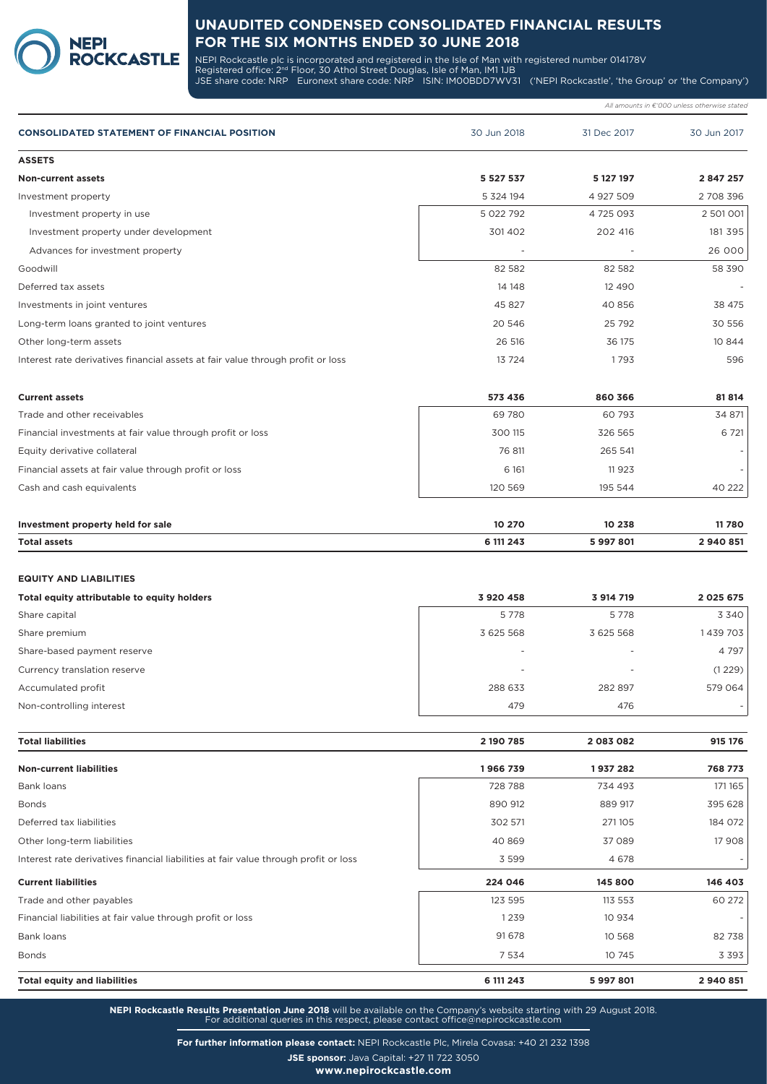

NEPI Rockcastle plc is incorporated and registered in the Isle of Man with registered number 014178V Registered office: 2<sup>nd</sup> Floor, 30 Athol Street Douglas, Isle of Man, IM1 1JB JSE share code: NRP Euronext share code: NRP ISIN: IM00BDD7WV31 ('NEPI Rockcastle', 'the Group' or 'the Company')

|                                                                                 |               |             | All amounts in €'000 unless otherwise stated |
|---------------------------------------------------------------------------------|---------------|-------------|----------------------------------------------|
| <b>CONSOLIDATED STATEMENT OF FINANCIAL POSITION</b>                             | 30 Jun 2018   | 31 Dec 2017 | 30 Jun 2017                                  |
| <b>ASSETS</b>                                                                   |               |             |                                              |
| <b>Non-current assets</b>                                                       | 5 5 2 7 5 3 7 | 5 127 197   | 2 847 257                                    |
| Investment property                                                             | 5 324 194     | 4 927 509   | 2 708 396                                    |
| Investment property in use                                                      | 5 022 792     | 4 725 093   | 2 501 001                                    |
| Investment property under development                                           | 301402        | 202 416     | 181 395                                      |
| Advances for investment property                                                |               |             | 26 000                                       |
| Goodwill                                                                        | 82 5 82       | 82 582      | 58 390                                       |
| Deferred tax assets                                                             | 14 14 8       | 12 490      |                                              |
| Investments in joint ventures                                                   | 45 827        | 40 856      | 38 475                                       |
| Long-term loans granted to joint ventures                                       | 20 546        | 25 7 9 2    | 30 556                                       |
| Other long-term assets                                                          | 26 516        | 36 175      | 10 844                                       |
| Interest rate derivatives financial assets at fair value through profit or loss | 13 7 24       | 1793        | 596                                          |
| <b>Current assets</b>                                                           | 573 436       | 860 366     | 81814                                        |
| Trade and other receivables                                                     | 69780         | 60 793      | 34 871                                       |
| Financial investments at fair value through profit or loss                      | 300 115       | 326 565     | 6 7 21                                       |
| Equity derivative collateral                                                    | 76 811        | 265 541     |                                              |
| Financial assets at fair value through profit or loss                           | 6 1 6 1       | 11923       |                                              |
| Cash and cash equivalents                                                       | 120 569       | 195 544     | 40 222                                       |
| Investment property held for sale                                               | 10 270        | 10 238      | 11780                                        |
| <b>Total assets</b>                                                             | 6 111 243     | 5997801     | 2940851                                      |
|                                                                                 |               |             |                                              |
| <b>EQUITY AND LIABILITIES</b><br>Total equity attributable to equity holders    | 3 920 458     | 3 914 719   | 2 0 2 5 6 7 5                                |
| Share capital                                                                   | 5778          | 5 7 7 8     | 3 3 4 0                                      |
| Share premium                                                                   | 3 625 568     | 3 625 568   | 1439703                                      |
| Share-based payment reserve                                                     |               |             | 4 797                                        |
| Currency translation reserve                                                    |               |             | (1229)                                       |
| Accumulated profit                                                              | 288 633       | 282 897     | 579 064                                      |
| Non-controlling interest                                                        | 479           | 476         |                                              |
| <b>Total liabilities</b>                                                        | 2 190 785     | 2083082     | 915 176                                      |
| <b>Non-current liabilities</b>                                                  | 1966739       | 1937 282    | 768 773                                      |
| Bank loans                                                                      | 728 788       | 734 493     | 171 165                                      |
| <b>Bonds</b>                                                                    | 890 912       | 889 917     | 395 628                                      |
| Deferred tax liabilities                                                        | 302 571       | 271105      | 184 072                                      |
| Other long-term liabilities                                                     | 40 869        | 37 089      | 17 908                                       |

**NEPI Rockcastle Results Presentation June 2018** will be available on the Company's website starting with 29 August 2018. For additional queries in this respect, please contact office@nepirockcastle.com

**Current liabilities 224 046 145 800 146 403** Trade and other payables 60 272

Bank loans 91 678 10 568 82 738 Bonds 7 534 10 745 3 393 **Total equity and liabilities 6 111 243 5 997 801 2 940 851**

Interest rate derivatives financial liabilities at fair value through profit or loss 3 599 3 599 3 4 678

Financial liabilities at fair value through profit or loss 1 239 10 934 -

**For further information please contact:** NEPI Rockcastle Plc, Mirela Covasa: +40 21 232 1398

**JSE sponsor:** Java Capital: +27 11 722 3050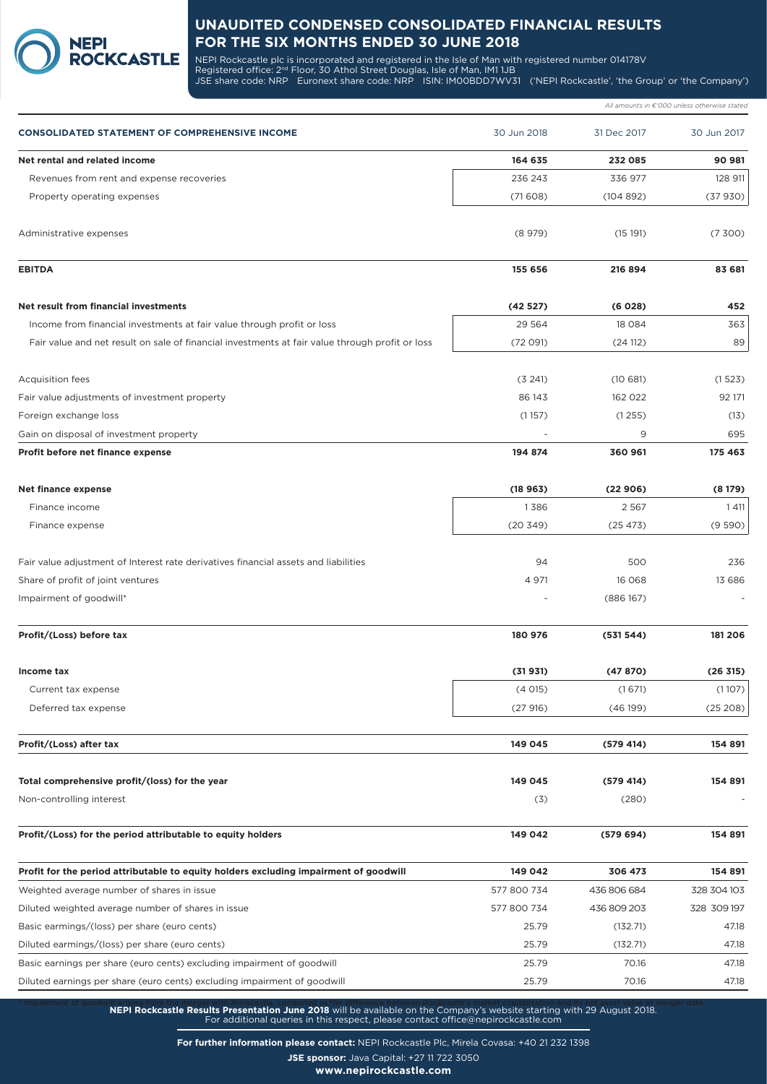

**NEPI** 

NEPI Rockcastle plc is incorporated and registered in the Isle of Man with registered number 014178V Registered office: 2<sup>nd</sup> Floor, 30 Athol Street Douglas, Isle of Man, IM1 1JB JSE share code: NRP Euronext share code: NRP ISIN: IM00BDD7WV31 ('NEPI Rockcastle', 'the Group' or 'the Company')

|                                                                                                 |             |             | All amounts in $\epsilon$ '000 unless otherwise stated |
|-------------------------------------------------------------------------------------------------|-------------|-------------|--------------------------------------------------------|
| <b>CONSOLIDATED STATEMENT OF COMPREHENSIVE INCOME</b>                                           | 30 Jun 2018 | 31 Dec 2017 | 30 Jun 2017                                            |
| Net rental and related income                                                                   | 164 635     | 232 085     | 90 981                                                 |
| Revenues from rent and expense recoveries                                                       | 236 243     | 336 977     | 128 911                                                |
| Property operating expenses                                                                     | (71608)     | (104892)    | (37930)                                                |
| Administrative expenses                                                                         | (8979)      | (15191)     | (7,300)                                                |
| <b>EBITDA</b>                                                                                   | 155 656     | 216 894     | 83 681                                                 |
| Net result from financial investments                                                           | (42527)     | (6028)      | 452                                                    |
| Income from financial investments at fair value through profit or loss                          | 29 5 64     | 18 0 8 4    | 363                                                    |
| Fair value and net result on sale of financial investments at fair value through profit or loss | (72 091)    | (24 112)    | 89                                                     |
| <b>Acquisition fees</b>                                                                         | (3 241)     | (10681)     | (1523)                                                 |
| Fair value adjustments of investment property                                                   | 86 143      | 162 022     | 92 171                                                 |
| Foreign exchange loss                                                                           | (1157)      | (1255)      | (13)                                                   |
| Gain on disposal of investment property                                                         |             | 9           | 695                                                    |
| Profit before net finance expense                                                               | 194 874     | 360 961     | 175 463                                                |
| Net finance expense                                                                             | (18963)     | (22906)     | (8179)                                                 |
| Finance income                                                                                  | 1386        | 2 5 6 7     | 1 4 1 1                                                |
| Finance expense                                                                                 | (20349)     | (25473)     | (9590)                                                 |
| Fair value adjustment of Interest rate derivatives financial assets and liabilities             | 94          | 500         | 236                                                    |
| Share of profit of joint ventures                                                               | 4 9 7 1     | 16 068      | 13 686                                                 |
| Impairment of goodwill*                                                                         |             | (886167)    |                                                        |
| Profit/(Loss) before tax                                                                        | 180 976     | (531544)    | 181 206                                                |
| Income tax                                                                                      | (31931)     | (47870)     | (26 315)                                               |
| Current tax expense                                                                             | (4015)      | (1671)      | (1107)                                                 |
| Deferred tax expense                                                                            | (27916)     | (46199)     | (25 208)                                               |
| Profit/(Loss) after tax                                                                         | 149 045     | (579 414)   | 154 891                                                |
| Total comprehensive profit/(loss) for the year                                                  | 149 045     | (579 414)   | 154 891                                                |
| Non-controlling interest                                                                        | (3)         | (280)       |                                                        |
| Profit/(Loss) for the period attributable to equity holders                                     | 149 042     | (579694)    | 154 891                                                |
| Profit for the period attributable to equity holders excluding impairment of goodwill           | 149 042     | 306 473     | 154 891                                                |
| Weighted average number of shares in issue                                                      | 577 800 734 | 436 806 684 | 328 304 103                                            |
| Diluted weighted average number of shares in issue                                              | 577 800 734 | 436 809 203 | 328 309 197                                            |
| Basic earmings/(loss) per share (euro cents)                                                    | 25.79       | (132.71)    | 47.18                                                  |
| Diluted earmings/(loss) per share (euro cents)                                                  | 25.79       | (132.71)    | 47.18                                                  |
| Basic earnings per share (euro cents) excluding impairment of goodwill                          | 25.79       | 70.16       | 47.18                                                  |
| Diluted earnings per share (euro cents) excluding impairment of goodwill                        | 25.79       | 70.16       | 47.18                                                  |
|                                                                                                 |             |             |                                                        |

**NEPI Rockcastle Results Presentation June 2018** will be available on the Company's website starting with 29 August 2018. For additional queries in this respect, please contact office@nepirockcastle.com

**For further information please contact:** NEPI Rockcastle Plc, Mirela Covasa: +40 21 232 1398

**JSE sponsor:** Java Capital: +27 11 722 3050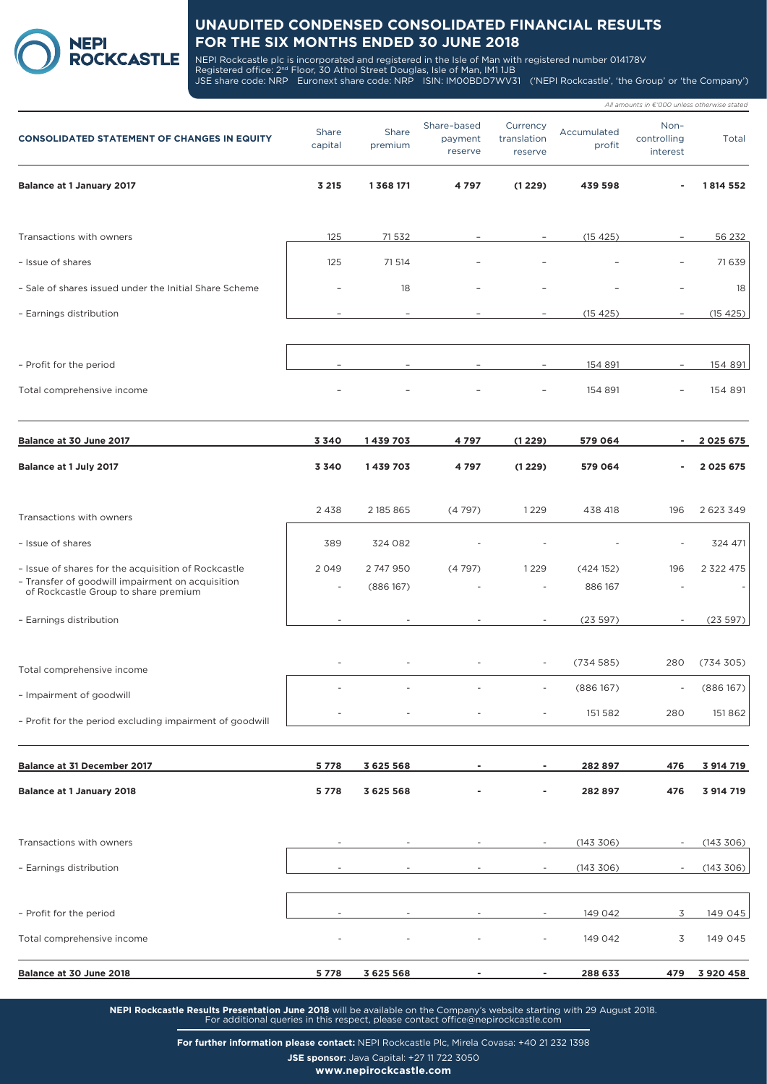

NEPI Rockcastle plc is incorporated and registered in the Isle of Man with registered number 014178V Registered office: 2<sup>nd</sup> Floor, 30 Athol Street Douglas, Isle of Man, IM1 1JB JSE share code: NRP Euronext share code: NRP ISIN: IM00BDD7WV31 ('NEPI Rockcastle', 'the Group' or 'the Company')

|                                                                                          |                          |                  |                                   |                                    |                       | All amounts in $\epsilon$ '000 unless otherwise stated |               |
|------------------------------------------------------------------------------------------|--------------------------|------------------|-----------------------------------|------------------------------------|-----------------------|--------------------------------------------------------|---------------|
| <b>CONSOLIDATED STATEMENT OF CHANGES IN EQUITY</b>                                       | Share<br>capital         | Share<br>premium | Share-based<br>payment<br>reserve | Currency<br>translation<br>reserve | Accumulated<br>profit | Non-<br>controlling<br>interest                        | Total         |
| <b>Balance at 1 January 2017</b>                                                         | 3 2 1 5                  | 1368171          | 4797                              | (1229)                             | 439 598               |                                                        | 1814 552      |
| Transactions with owners                                                                 | 125                      | 71532            |                                   | $\overline{a}$                     | (15 425)              | $\overline{\phantom{a}}$                               | 56 232        |
| - Issue of shares                                                                        | 125                      | 71 514           |                                   |                                    |                       |                                                        | 71639         |
| - Sale of shares issued under the Initial Share Scheme                                   |                          | 18               |                                   |                                    |                       |                                                        | 18            |
| - Earnings distribution                                                                  |                          |                  |                                   |                                    | (15 425)              |                                                        | (15 425)      |
| - Profit for the period                                                                  |                          |                  |                                   |                                    | 154 891               |                                                        | 154 891       |
| Total comprehensive income                                                               |                          |                  |                                   |                                    | 154 891               |                                                        | 154 891       |
| Balance at 30 June 2017                                                                  | 3340                     | 1439703          | 4797                              | (1229)                             | 579 064               |                                                        | 2 0 2 5 6 7 5 |
| Balance at 1 July 2017                                                                   | 3340                     | 1439703          | 4797                              | (1229)                             | 579 064               |                                                        | 2 0 2 5 6 7 5 |
| Transactions with owners                                                                 | 2 4 3 8                  | 2 185 865        | (4797)                            | 1229                               | 438 418               | 196                                                    | 2623349       |
| - Issue of shares                                                                        | 389                      | 324 082          |                                   |                                    |                       |                                                        | 324 471       |
| - Issue of shares for the acquisition of Rockcastle                                      | 2049                     | 2 747 950        | (4797)                            | 1229                               | (424152)              | 196                                                    | 2 3 2 2 4 7 5 |
| - Transfer of goodwill impairment on acquisition<br>of Rockcastle Group to share premium | $\overline{\phantom{a}}$ | (886167)         |                                   |                                    | 886 167               |                                                        |               |
| - Earnings distribution                                                                  |                          |                  |                                   |                                    | (23597)               |                                                        | (23597)       |
| Total comprehensive income                                                               |                          |                  |                                   | $\overline{\phantom{a}}$           | (734585)              | 280                                                    | (734305)      |
| - Impairment of goodwill                                                                 |                          |                  |                                   |                                    | (886167)              |                                                        | (886167)      |
| - Profit for the period excluding impairment of goodwill                                 |                          |                  |                                   |                                    | 151 582               | 280                                                    | 151862        |
| Balance at 31 December 2017                                                              | 5778                     | 3 6 2 5 5 6 8    |                                   |                                    | 282897                | 476                                                    | 3 914 719     |
| <b>Balance at 1 January 2018</b>                                                         | 5778                     | 3 625 568        |                                   |                                    | 282897                | 476                                                    | 3 914 719     |
| Transactions with owners                                                                 |                          |                  |                                   |                                    | (143 306)             |                                                        | (143 306)     |
| - Earnings distribution                                                                  |                          |                  |                                   |                                    | (143 306)             |                                                        | (143 306)     |
| - Profit for the period                                                                  |                          |                  |                                   |                                    | 149 042               | 3                                                      | 149 045       |
| Total comprehensive income                                                               |                          |                  |                                   |                                    | 149 042               | 3                                                      | 149 045       |

**NEPI Rockcastle Results Presentation June 2018** will be available on the Company's website starting with 29 August 2018. For additional queries in this respect, please contact office@nepirockcastle.com

**Balance at 30 June 2018 5 778 3 625 568 - - 288 633 479 3 920 458**

**For further information please contact:** NEPI Rockcastle Plc, Mirela Covasa: +40 21 232 1398

**JSE sponsor:** Java Capital: +27 11 722 3050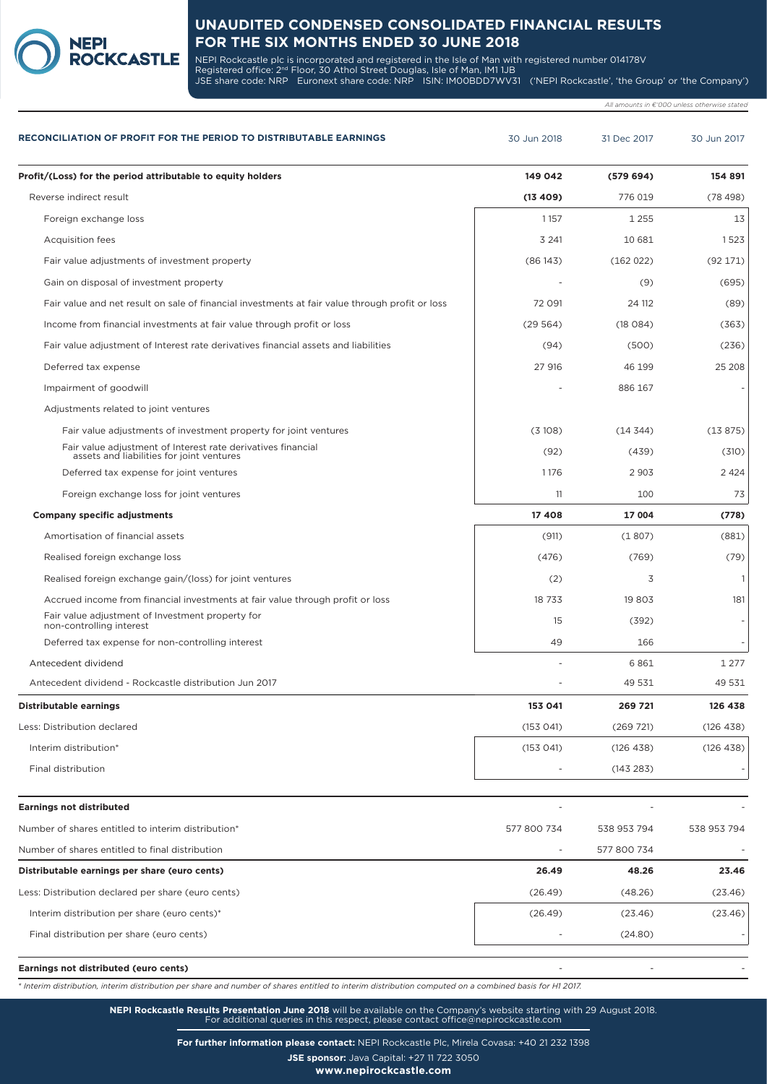**NEPI** 

NEPI Rockcastle plc is incorporated and registered in the Isle of Man with registered number 014178V Registered office: 2<sup>nd</sup> Floor, 30 Athol Street Douglas, Isle of Man, IM1 1JB JSE share code: NRP Euronext share code: NRP ISIN: IM00BDD7WV31 ('NEPI Rockcastle', 'the Group' or 'the Company')

*All amounts in €'000 unless otherwise stated*

| <b>RECONCILIATION OF PROFIT FOR THE PERIOD TO DISTRIBUTABLE EARNINGS</b>                                  | 30 Jun 2018 | 31 Dec 2017 | 30 Jun 2017  |
|-----------------------------------------------------------------------------------------------------------|-------------|-------------|--------------|
| Profit/(Loss) for the period attributable to equity holders                                               | 149 042     | (579694)    | 154 891      |
| Reverse indirect result                                                                                   | (13 409)    | 776 019     | (78498)      |
| Foreign exchange loss                                                                                     | 1157        | 1 2 5 5     | 13           |
| <b>Acquisition fees</b>                                                                                   | 3 2 4 1     | 10 681      | 1523         |
| Fair value adjustments of investment property                                                             | (86143)     | (162022)    | (92171)      |
| Gain on disposal of investment property                                                                   |             | (9)         | (695)        |
| Fair value and net result on sale of financial investments at fair value through profit or loss           | 72 091      | 24 112      | (89)         |
| Income from financial investments at fair value through profit or loss                                    | (29564)     | (18084)     | (363)        |
| Fair value adjustment of Interest rate derivatives financial assets and liabilities                       | (94)        | (500)       | (236)        |
| Deferred tax expense                                                                                      | 27 916      | 46 199      | 25 208       |
| Impairment of goodwill                                                                                    |             | 886 167     |              |
| Adjustments related to joint ventures                                                                     |             |             |              |
| Fair value adjustments of investment property for joint ventures                                          | (3108)      | (14344)     | (13875)      |
| Fair value adjustment of Interest rate derivatives financial<br>assets and liabilities for joint ventures | (92)        | (439)       | (310)        |
| Deferred tax expense for joint ventures                                                                   | 1176        | 2 9 0 3     | 2 4 2 4      |
| Foreign exchange loss for joint ventures                                                                  | 11          | 100         | 73           |
| <b>Company specific adjustments</b>                                                                       | 17408       | 17 004      | (778)        |
| Amortisation of financial assets                                                                          | (911)       | (1807)      | (881)        |
| Realised foreign exchange loss                                                                            | (476)       | (769)       | (79)         |
| Realised foreign exchange gain/(loss) for joint ventures                                                  | (2)         | 3           | $\mathbf{1}$ |
| Accrued income from financial investments at fair value through profit or loss                            | 18 733      | 19 803      | 181          |
| Fair value adjustment of Investment property for<br>non-controlling interest                              | 15          | (392)       |              |
| Deferred tax expense for non-controlling interest                                                         | 49          | 166         |              |
| Antecedent dividend                                                                                       |             | 6861        | 1 2 7 7      |
| Antecedent dividend - Rockcastle distribution Jun 2017                                                    |             | 49 531      | 49 531       |
| Distributable earnings                                                                                    | 153 041     | 269 721     | 126 438      |
| Less: Distribution declared                                                                               | (153041)    | (269 721)   | (126 438)    |
| Interim distribution*                                                                                     | (153 041)   | (126 438)   | (126 438)    |
| Final distribution                                                                                        |             | (143 283)   |              |
|                                                                                                           |             |             |              |
| <b>Earnings not distributed</b>                                                                           |             |             |              |
| Number of shares entitled to interim distribution*                                                        | 577 800 734 | 538 953 794 | 538 953 794  |
| Number of shares entitled to final distribution                                                           |             | 577 800 734 |              |
| Distributable earnings per share (euro cents)                                                             | 26.49       | 48.26       | 23.46        |
| Less: Distribution declared per share (euro cents)                                                        | (26.49)     | (48.26)     | (23.46)      |
| Interim distribution per share (euro cents)*                                                              | (26.49)     | (23.46)     | (23.46)      |
| Final distribution per share (euro cents)                                                                 |             | (24.80)     |              |
|                                                                                                           |             |             |              |

*\* Interim distribution, interim distribution per share and number of shares entitled to interim distribution computed on a combined basis for H1 2017.*

**NEPI Rockcastle Results Presentation June 2018** will be available on the Company's website starting with 29 August 2018. For additional queries in this respect, please contact office@nepirockcastle.com

**For further information please contact:** NEPI Rockcastle Plc, Mirela Covasa: +40 21 232 1398

**JSE sponsor:** Java Capital: +27 11 722 3050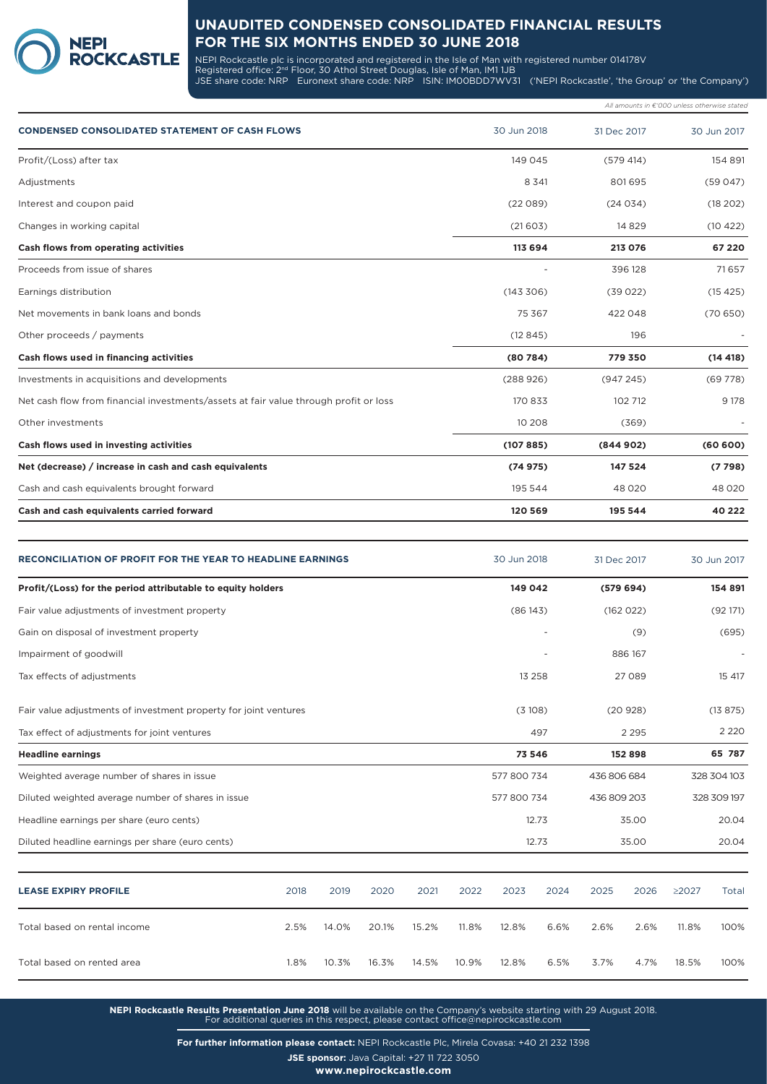

NEPI Rockcastle plc is incorporated and registered in the Isle of Man with registered number 014178V Registered office: 2<sup>nd</sup> Floor, 30 Athol Street Douglas, Isle of Man, IM1 1JB JSE share code: NRP Euronext share code: NRP ISIN: IM00BDD7WV31 ('NEPI Rockcastle', 'the Group' or 'the Company')

|                                                                                      |             |             | All amounts in €'000 unless otherwise stated |
|--------------------------------------------------------------------------------------|-------------|-------------|----------------------------------------------|
| <b>CONDENSED CONSOLIDATED STATEMENT OF CASH FLOWS</b>                                | 30 Jun 2018 | 31 Dec 2017 | 30 Jun 2017                                  |
| Profit/(Loss) after tax                                                              | 149 045     | (579 414)   | 154 891                                      |
| Adjustments                                                                          | 8 3 4 1     | 801695      | (59047)                                      |
| Interest and coupon paid                                                             | (22089)     | (24034)     | (18 202)                                     |
| Changes in working capital                                                           | (21603)     | 14 8 29     | (10422)                                      |
| Cash flows from operating activities                                                 | 113 694     | 213 076     | 67 220                                       |
| Proceeds from issue of shares                                                        |             | 396 128     | 71657                                        |
| Earnings distribution                                                                | (143306)    | (39022)     | (15425)                                      |
| Net movements in bank loans and bonds                                                | 75 367      | 422048      | (70650)                                      |
| Other proceeds / payments                                                            | (12845)     | 196         |                                              |
| Cash flows used in financing activities                                              | (80784)     | 779 350     | (14418)                                      |
| Investments in acquisitions and developments                                         | (288926)    | (947245)    | (69778)                                      |
| Net cash flow from financial investments/assets at fair value through profit or loss | 170 833     | 102 712     | 9 1 7 8                                      |
| Other investments                                                                    | 10 208      | (369)       |                                              |
| Cash flows used in investing activities                                              | (107885)    | (844902)    | (60 600)                                     |
| Net (decrease) / increase in cash and cash equivalents                               | (74975)     | 147 524     | (7798)                                       |
| Cash and cash equivalents brought forward                                            | 195 544     | 48 0 20     | 48 0 20                                      |
| Cash and cash equivalents carried forward                                            | 120 569     | 195 544     | 40 222                                       |

| <b>RECONCILIATION OF PROFIT FOR THE YEAR TO HEADLINE EARNINGS</b> |      |        |       |       |         | 30 Jun 2018 |         | 31 Dec 2017 |           | 30 Jun 2017 |             |
|-------------------------------------------------------------------|------|--------|-------|-------|---------|-------------|---------|-------------|-----------|-------------|-------------|
| Profit/(Loss) for the period attributable to equity holders       |      |        |       |       |         | 149 042     |         |             | (579694)  |             | 154 891     |
| Fair value adjustments of investment property                     |      |        |       |       |         | (86143)     |         |             | (162 022) |             | (92171)     |
| Gain on disposal of investment property                           |      |        |       |       |         |             |         |             | (9)       |             | (695)       |
| Impairment of goodwill                                            |      |        |       |       |         |             |         |             | 886 167   |             |             |
| Tax effects of adjustments                                        |      |        |       |       |         | 13 258      |         |             | 27 089    |             | 15 417      |
| Fair value adjustments of investment property for joint ventures  |      | (3108) |       |       | (20928) |             | (13875) |             |           |             |             |
| Tax effect of adjustments for joint ventures                      |      |        | 497   |       |         | 2 2 9 5     |         | 2 2 2 0     |           |             |             |
| <b>Headline earnings</b>                                          |      |        |       |       |         | 73 546      |         |             | 152 898   |             | 65 787      |
| Weighted average number of shares in issue                        |      |        |       |       |         | 577 800 734 |         | 436 806 684 |           |             | 328 304 103 |
| Diluted weighted average number of shares in issue                |      |        |       |       |         | 577 800 734 |         | 436 809 203 |           | 328 309 197 |             |
| Headline earnings per share (euro cents)                          |      |        |       |       |         | 12.73       |         | 35.00       |           | 20.04       |             |
| Diluted headline earnings per share (euro cents)                  |      |        |       |       |         |             | 12.73   |             | 35.00     |             | 20.04       |
| <b>LEASE EXPIRY PROFILE</b>                                       | 2018 | 2019   | 2020  | 2021  | 2022    | 2023        | 2024    | 2025        | 2026      | $\geq 2027$ | Total       |
| Total based on rental income                                      | 2.5% | 14.0%  | 20.1% | 15.2% | 11.8%   | 12.8%       | 6.6%    | 2.6%        | 2.6%      | 11.8%       | 100%        |
| Total based on rented area                                        | 1.8% | 10.3%  | 16.3% | 14.5% | 10.9%   | 12.8%       | 6.5%    | 3.7%        | 4.7%      | 18.5%       | 100%        |

**NEPI Rockcastle Results Presentation June 2018** will be available on the Company's website starting with 29 August 2018. For additional queries in this respect, please contact office@nepirockcastle.com

**For further information please contact:** NEPI Rockcastle Plc, Mirela Covasa: +40 21 232 1398

**JSE sponsor:** Java Capital: +27 11 722 3050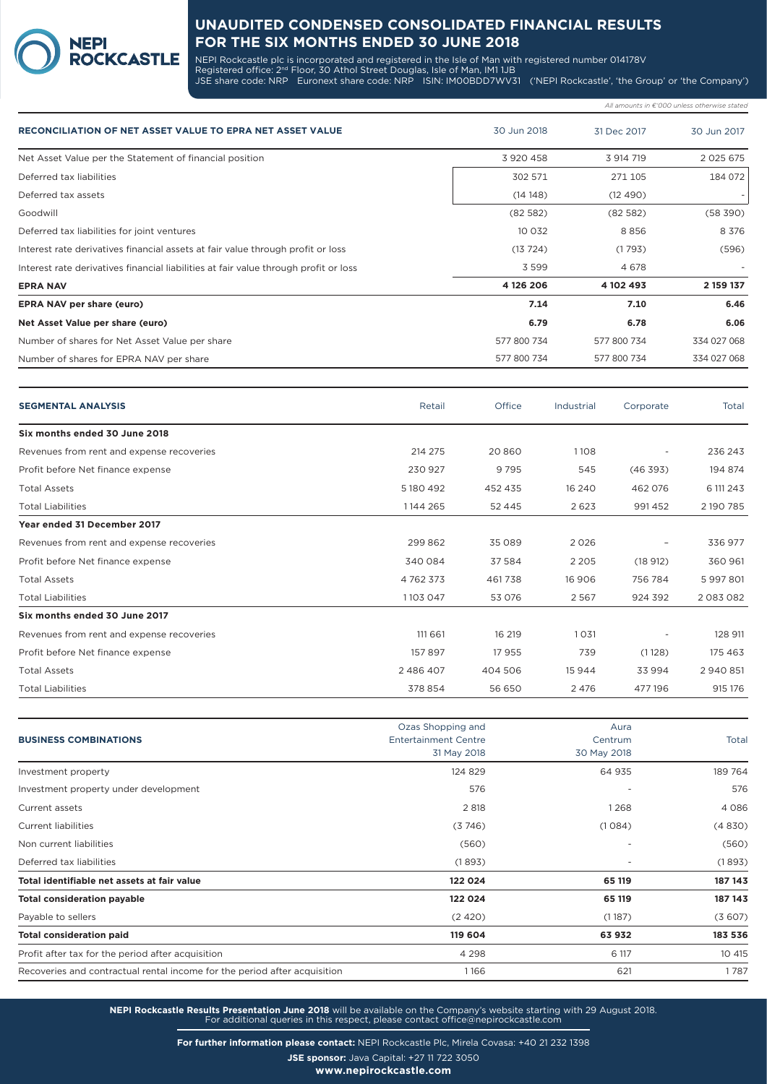NEPI Rockcastle plc is incorporated and registered in the Isle of Man with registered number 014178V Registered office: 2<sup>nd</sup> Floor, 30 Athol Street Douglas, Isle of Man, IM1 1JB JSE share code: NRP Euronext share code: NRP ISIN: IM00BDD7WV31 ('NEPI Rockcastle', 'the Group' or 'the Company')

*All amounts in €'000 unless otherwise stated*

| <b>RECONCILIATION OF NET ASSET VALUE TO EPRA NET ASSET VALUE</b>                     | 30 Jun 2018 | 31 Dec 2017 | 30 Jun 2017   |
|--------------------------------------------------------------------------------------|-------------|-------------|---------------|
| Net Asset Value per the Statement of financial position                              | 3 920 458   | 3 914 719   | 2 0 2 5 6 7 5 |
| Deferred tax liabilities                                                             | 302 571     | 271 105     | 184 072       |
| Deferred tax assets                                                                  | (14148)     | (12 490)    |               |
| Goodwill                                                                             | (82582)     | (82582)     | (58 390)      |
| Deferred tax liabilities for joint ventures                                          | 10 0 32     | 8856        | 8 3 7 6       |
| Interest rate derivatives financial assets at fair value through profit or loss      | (13724)     | (1793)      | (596)         |
| Interest rate derivatives financial liabilities at fair value through profit or loss | 3 5 9 9     | 4 6 7 8     |               |
| <b>EPRA NAV</b>                                                                      | 4 126 206   | 4 102 493   | 2 159 137     |
| EPRA NAV per share (euro)                                                            | 7.14        | 7.10        | 6.46          |
| Net Asset Value per share (euro)                                                     | 6.79        | 6.78        | 6.06          |
| Number of shares for Net Asset Value per share                                       | 577 800 734 | 577 800 734 | 334 027 068   |
| Number of shares for EPRA NAV per share                                              | 577 800 734 | 577 800 734 | 334 027 068   |

**NEPI** 

**ROCKCASTLE** 

| <b>SEGMENTAL ANALYSIS</b>                 | Retail        | Office   | Industrial | Corporate                | Total       |
|-------------------------------------------|---------------|----------|------------|--------------------------|-------------|
| Six months ended 30 June 2018             |               |          |            |                          |             |
| Revenues from rent and expense recoveries | 214 275       | 20 860   | 1108       | $\overline{\phantom{a}}$ | 236 243     |
| Profit before Net finance expense         | 230 927       | 9795     | 545        | (46393)                  | 194 874     |
| <b>Total Assets</b>                       | 5 180 492     | 452 435  | 16 24 0    | 462 076                  | 6 111 2 4 3 |
| <b>Total Liabilities</b>                  | 1144 265      | 52 4 4 5 | 2623       | 991452                   | 2 190 785   |
| Year ended 31 December 2017               |               |          |            |                          |             |
| Revenues from rent and expense recoveries | 299862        | 35 089   | 2026       |                          | 336 977     |
| Profit before Net finance expense         | 340 084       | 37 584   | 2 2 0 5    | (18912)                  | 360 961     |
| <b>Total Assets</b>                       | 4 7 6 2 3 7 3 | 461738   | 16 906     | 756 784                  | 5997801     |
| <b>Total Liabilities</b>                  | 1103 047      | 53 076   | 2567       | 924 392                  | 2083082     |
| Six months ended 30 June 2017             |               |          |            |                          |             |
| Revenues from rent and expense recoveries | 111 661       | 16 219   | 1031       |                          | 128 911     |
| Profit before Net finance expense         | 157897        | 17 955   | 739        | (1128)                   | 175 463     |
| <b>Total Assets</b>                       | 2486407       | 404 506  | 15944      | 33 994                   | 2940851     |
| <b>Total Liabilities</b>                  | 378854        | 56 650   | 2476       | 477196                   | 915 176     |

|                                                                           | Ozas Shopping and           | Aura                     |              |
|---------------------------------------------------------------------------|-----------------------------|--------------------------|--------------|
| <b>BUSINESS COMBINATIONS</b>                                              | <b>Entertainment Centre</b> | Centrum                  | <b>Total</b> |
|                                                                           | 31 May 2018                 | 30 May 2018              |              |
| Investment property                                                       | 124 829                     | 64 935                   | 189 764      |
|                                                                           |                             |                          |              |
| Investment property under development                                     | 576                         | $\overline{\phantom{a}}$ | 576          |
| Current assets                                                            | 2 8 18                      | 1268                     | 4 0 8 6      |
| <b>Current liabilities</b>                                                | (3746)                      | (1084)                   | (4830)       |
| Non current liabilities                                                   | (560)                       |                          | (560)        |
| Deferred tax liabilities                                                  | (1893)                      |                          | (1893)       |
| Total identifiable net assets at fair value                               | 122 024                     | 65 119                   | 187 143      |
| <b>Total consideration payable</b>                                        | 122 024                     | 65 119                   | 187 143      |
| Payable to sellers                                                        | (2420)                      | (1187)                   | (3607)       |
| <b>Total consideration paid</b>                                           | 119 604                     | 63932                    | 183 536      |
| Profit after tax for the period after acquisition                         | 4 2 9 8                     | 6 117                    | 10 415       |
| Recoveries and contractual rental income for the period after acquisition | 1166                        | 621                      | 1787         |
|                                                                           |                             |                          |              |

**NEPI Rockcastle Results Presentation June 2018** will be available on the Company's website starting with 29 August 2018. For additional queries in this respect, please contact office@nepirockcastle.com

**For further information please contact:** NEPI Rockcastle Plc, Mirela Covasa: +40 21 232 1398

**JSE sponsor:** Java Capital: +27 11 722 3050